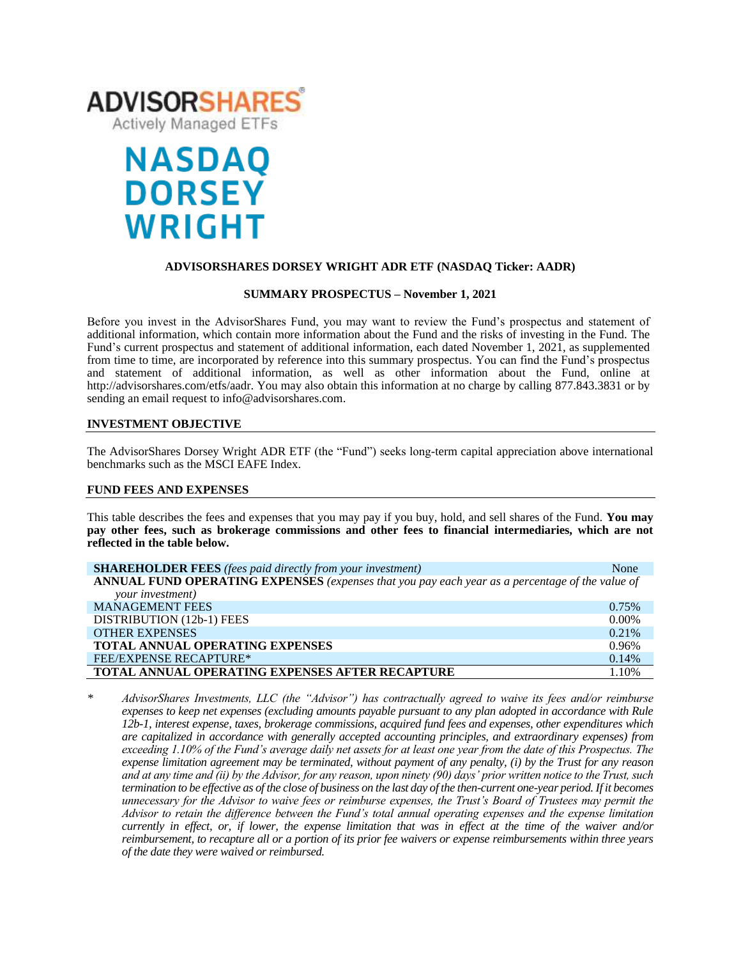

# **NASDAQ DORSEY WRIGHT**

# **ADVISORSHARES DORSEY WRIGHT ADR ETF (NASDAQ Ticker: AADR)**

#### **SUMMARY PROSPECTUS – November 1, 2021**

Before you invest in the AdvisorShares Fund, you may want to review the Fund's prospectus and statement of additional information, which contain more information about the Fund and the risks of investing in the Fund. The Fund's [current prospectus and statement of additional information,](https://www.sec.gov/ix?doc=/Archives/edgar/data/1408970/000182912621013072/ck0001408970-20210630.htm) each dated November 1, 2021, as supplemented from time to time, are incorporated by reference into this summary prospectus. You can find the Fund's prospectus and statement of additional information, as well as other information about the Fund, online at http://advisorshares.com/etfs/aadr. You may also obtain this information at no charge by calling 877.843.3831 or by sending an email request to info@advisorshares.com.

# **INVESTMENT OBJECTIVE**

The AdvisorShares Dorsey Wright ADR ETF (the "Fund") seeks long-term capital appreciation above international benchmarks such as the MSCI EAFE Index.

#### **FUND FEES AND EXPENSES**

This table describes the fees and expenses that you may pay if you buy, hold, and sell shares of the Fund. **You may pay other fees, such as brokerage commissions and other fees to financial intermediaries, which are not reflected in the table below.**

| <b>SHAREHOLDER FEES</b> (fees paid directly from your investment)                               | None     |
|-------------------------------------------------------------------------------------------------|----------|
| ANNUAL FUND OPERATING EXPENSES (expenses that you pay each year as a percentage of the value of |          |
| your investment)                                                                                |          |
| <b>MANAGEMENT FEES</b>                                                                          | 0.75%    |
| DISTRIBUTION (12b-1) FEES                                                                       | $0.00\%$ |
| <b>OTHER EXPENSES</b>                                                                           | 0.21%    |
| TOTAL ANNUAL OPERATING EXPENSES                                                                 | 0.96%    |
| <b>FEE/EXPENSE RECAPTURE*</b>                                                                   | 0.14%    |
| TOTAL ANNUAL OPERATING EXPENSES AFTER RECAPTURE                                                 | 1.10%    |

*\* AdvisorShares Investments, LLC (the "Advisor") has contractually agreed to waive its fees and/or reimburse expenses to keep net expenses (excluding amounts payable pursuant to any plan adopted in accordance with Rule 12b-1, interest expense, taxes, brokerage commissions, acquired fund fees and expenses, other expenditures which are capitalized in accordance with generally accepted accounting principles, and extraordinary expenses) from exceeding 1.10% of the Fund's average daily net assets for at least one year from the date of this Prospectus. The expense limitation agreement may be terminated, without payment of any penalty, (i) by the Trust for any reason and at any time and (ii) by the Advisor, for any reason, upon ninety (90) days' prior written notice to the Trust, such termination to be effective as of the close of business on the last day of the then-current one-year period. If it becomes unnecessary for the Advisor to waive fees or reimburse expenses, the Trust's Board of Trustees may permit the Advisor to retain the difference between the Fund's total annual operating expenses and the expense limitation currently in effect, or, if lower, the expense limitation that was in effect at the time of the waiver and/or reimbursement, to recapture all or a portion of its prior fee waivers or expense reimbursements within three years of the date they were waived or reimbursed.*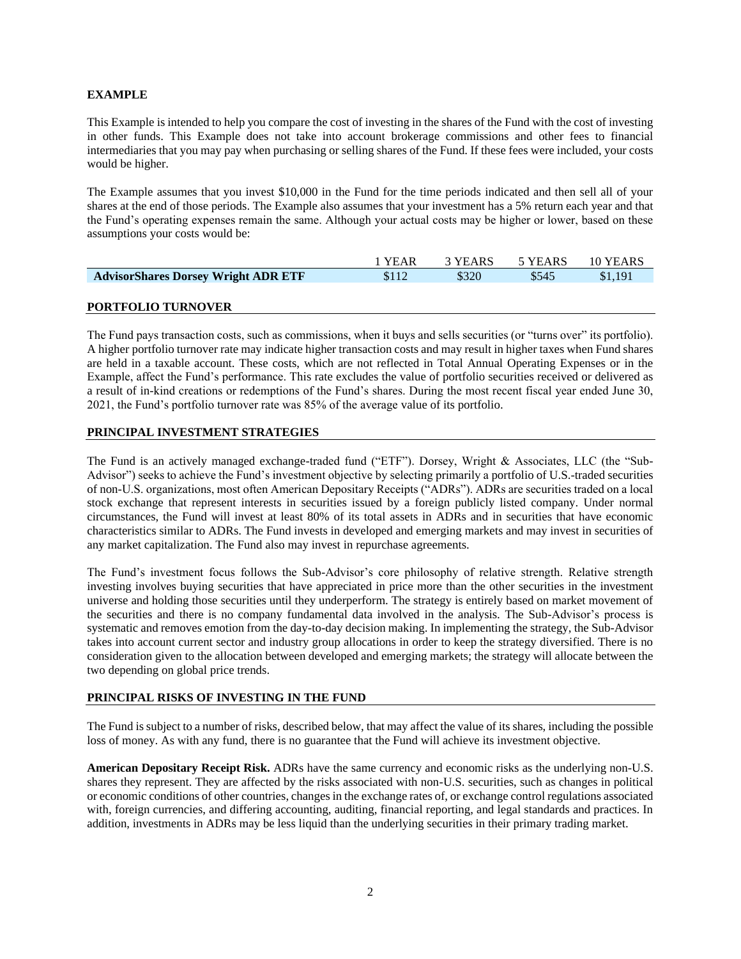# **EXAMPLE**

This Example is intended to help you compare the cost of investing in the shares of the Fund with the cost of investing in other funds. This Example does not take into account brokerage commissions and other fees to financial intermediaries that you may pay when purchasing or selling shares of the Fund. If these fees were included, your costs would be higher.

The Example assumes that you invest \$10,000 in the Fund for the time periods indicated and then sell all of your shares at the end of those periods. The Example also assumes that your investment has a 5% return each year and that the Fund's operating expenses remain the same. Although your actual costs may be higher or lower, based on these assumptions your costs would be:

|                                            | 1 YEAR | 3 YEARS | <sup>1</sup> 5 YEARS | 10 YEARS |
|--------------------------------------------|--------|---------|----------------------|----------|
| <b>AdvisorShares Dorsey Wright ADR ETF</b> | \$112  | \$320   | \$545                | \$1.191  |
|                                            |        |         |                      |          |

# **PORTFOLIO TURNOVER**

The Fund pays transaction costs, such as commissions, when it buys and sells securities (or "turns over" its portfolio). A higher portfolio turnover rate may indicate higher transaction costs and may result in higher taxes when Fund shares are held in a taxable account. These costs, which are not reflected in Total Annual Operating Expenses or in the Example, affect the Fund's performance. This rate excludes the value of portfolio securities received or delivered as a result of in-kind creations or redemptions of the Fund's shares. During the most recent fiscal year ended June 30, 2021, the Fund's portfolio turnover rate was 85% of the average value of its portfolio.

# **PRINCIPAL INVESTMENT STRATEGIES**

The Fund is an actively managed exchange-traded fund ("ETF"). Dorsey, Wright & Associates, LLC (the "Sub-Advisor") seeks to achieve the Fund's investment objective by selecting primarily a portfolio of U.S.-traded securities of non-U.S. organizations, most often American Depositary Receipts ("ADRs"). ADRs are securities traded on a local stock exchange that represent interests in securities issued by a foreign publicly listed company. Under normal circumstances, the Fund will invest at least 80% of its total assets in ADRs and in securities that have economic characteristics similar to ADRs. The Fund invests in developed and emerging markets and may invest in securities of any market capitalization. The Fund also may invest in repurchase agreements.

The Fund's investment focus follows the Sub-Advisor's core philosophy of relative strength. Relative strength investing involves buying securities that have appreciated in price more than the other securities in the investment universe and holding those securities until they underperform. The strategy is entirely based on market movement of the securities and there is no company fundamental data involved in the analysis. The Sub-Advisor's process is systematic and removes emotion from the day-to-day decision making. In implementing the strategy, the Sub-Advisor takes into account current sector and industry group allocations in order to keep the strategy diversified. There is no consideration given to the allocation between developed and emerging markets; the strategy will allocate between the two depending on global price trends.

# **PRINCIPAL RISKS OF INVESTING IN THE FUND**

The Fund is subject to a number of risks, described below, that may affect the value of its shares, including the possible loss of money. As with any fund, there is no guarantee that the Fund will achieve its investment objective.

**American Depositary Receipt Risk.** ADRs have the same currency and economic risks as the underlying non-U.S. shares they represent. They are affected by the risks associated with non-U.S. securities, such as changes in political or economic conditions of other countries, changes in the exchange rates of, or exchange control regulations associated with, foreign currencies, and differing accounting, auditing, financial reporting, and legal standards and practices. In addition, investments in ADRs may be less liquid than the underlying securities in their primary trading market.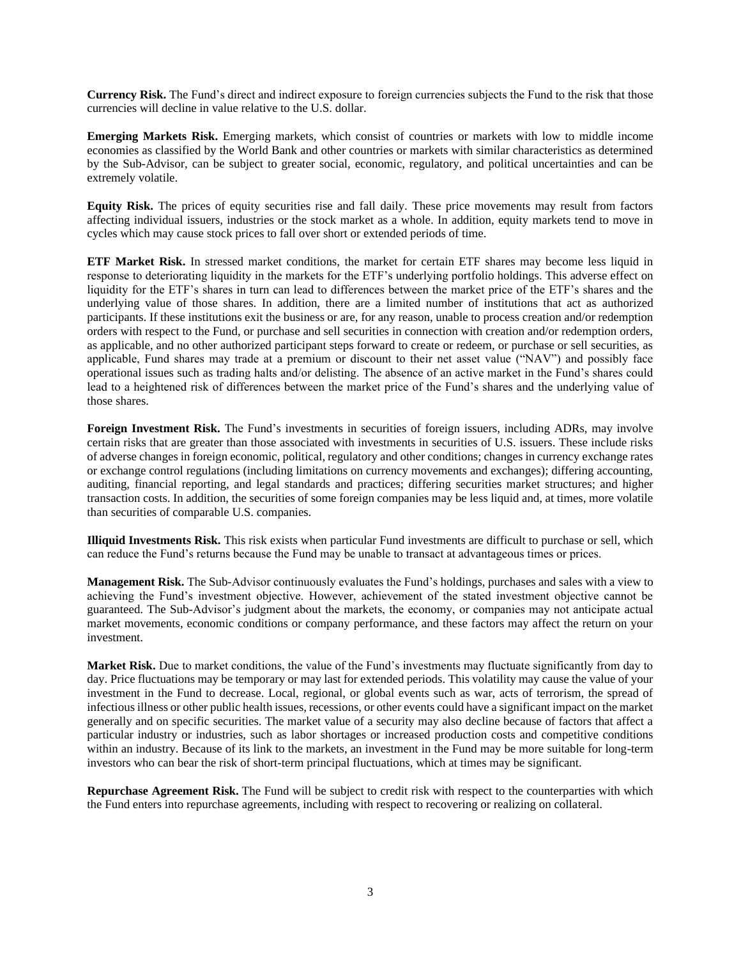**Currency Risk.** The Fund's direct and indirect exposure to foreign currencies subjects the Fund to the risk that those currencies will decline in value relative to the U.S. dollar.

**Emerging Markets Risk.** Emerging markets, which consist of countries or markets with low to middle income economies as classified by the World Bank and other countries or markets with similar characteristics as determined by the Sub-Advisor, can be subject to greater social, economic, regulatory, and political uncertainties and can be extremely volatile.

**Equity Risk.** The prices of equity securities rise and fall daily. These price movements may result from factors affecting individual issuers, industries or the stock market as a whole. In addition, equity markets tend to move in cycles which may cause stock prices to fall over short or extended periods of time.

**ETF Market Risk.** In stressed market conditions, the market for certain ETF shares may become less liquid in response to deteriorating liquidity in the markets for the ETF's underlying portfolio holdings. This adverse effect on liquidity for the ETF's shares in turn can lead to differences between the market price of the ETF's shares and the underlying value of those shares. In addition, there are a limited number of institutions that act as authorized participants. If these institutions exit the business or are, for any reason, unable to process creation and/or redemption orders with respect to the Fund, or purchase and sell securities in connection with creation and/or redemption orders, as applicable, and no other authorized participant steps forward to create or redeem, or purchase or sell securities, as applicable, Fund shares may trade at a premium or discount to their net asset value ("NAV") and possibly face operational issues such as trading halts and/or delisting. The absence of an active market in the Fund's shares could lead to a heightened risk of differences between the market price of the Fund's shares and the underlying value of those shares.

**Foreign Investment Risk.** The Fund's investments in securities of foreign issuers, including ADRs, may involve certain risks that are greater than those associated with investments in securities of U.S. issuers. These include risks of adverse changes in foreign economic, political, regulatory and other conditions; changes in currency exchange rates or exchange control regulations (including limitations on currency movements and exchanges); differing accounting, auditing, financial reporting, and legal standards and practices; differing securities market structures; and higher transaction costs. In addition, the securities of some foreign companies may be less liquid and, at times, more volatile than securities of comparable U.S. companies.

**Illiquid Investments Risk.** This risk exists when particular Fund investments are difficult to purchase or sell, which can reduce the Fund's returns because the Fund may be unable to transact at advantageous times or prices.

**Management Risk.** The Sub-Advisor continuously evaluates the Fund's holdings, purchases and sales with a view to achieving the Fund's investment objective. However, achievement of the stated investment objective cannot be guaranteed. The Sub-Advisor's judgment about the markets, the economy, or companies may not anticipate actual market movements, economic conditions or company performance, and these factors may affect the return on your investment.

**Market Risk.** Due to market conditions, the value of the Fund's investments may fluctuate significantly from day to day. Price fluctuations may be temporary or may last for extended periods. This volatility may cause the value of your investment in the Fund to decrease. Local, regional, or global events such as war, acts of terrorism, the spread of infectious illness or other public health issues, recessions, or other events could have a significant impact on the market generally and on specific securities. The market value of a security may also decline because of factors that affect a particular industry or industries, such as labor shortages or increased production costs and competitive conditions within an industry. Because of its link to the markets, an investment in the Fund may be more suitable for long-term investors who can bear the risk of short-term principal fluctuations, which at times may be significant.

**Repurchase Agreement Risk.** The Fund will be subject to credit risk with respect to the counterparties with which the Fund enters into repurchase agreements, including with respect to recovering or realizing on collateral.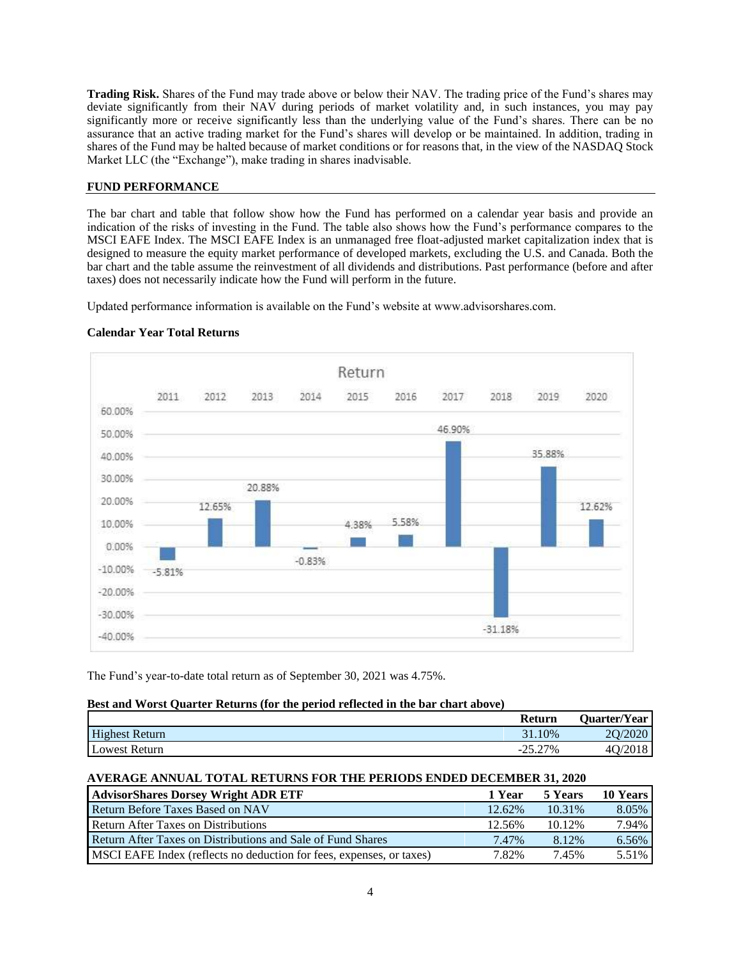**Trading Risk.** Shares of the Fund may trade above or below their NAV. The trading price of the Fund's shares may deviate significantly from their NAV during periods of market volatility and, in such instances, you may pay significantly more or receive significantly less than the underlying value of the Fund's shares. There can be no assurance that an active trading market for the Fund's shares will develop or be maintained. In addition, trading in shares of the Fund may be halted because of market conditions or for reasons that, in the view of the NASDAQ Stock Market LLC (the "Exchange"), make trading in shares inadvisable.

# **FUND PERFORMANCE**

The bar chart and table that follow show how the Fund has performed on a calendar year basis and provide an indication of the risks of investing in the Fund. The table also shows how the Fund's performance compares to the MSCI EAFE Index. The MSCI EAFE Index is an unmanaged free float-adjusted market capitalization index that is designed to measure the equity market performance of developed markets, excluding the U.S. and Canada. Both the bar chart and the table assume the reinvestment of all dividends and distributions. Past performance (before and after taxes) does not necessarily indicate how the Fund will perform in the future.

Updated performance information is available on the Fund's website at www.advisorshares.com.



#### **Calendar Year Total Returns**

The Fund's year-to-date total return as of September 30, 2021 was 4.75%.

#### **Best and Worst Quarter Returns (for the period reflected in the bar chart above)**

|                       | Return                    | <b>Ouarter/Year</b> |
|-----------------------|---------------------------|---------------------|
| <b>Highest Return</b> | 31.10%                    | 20/2020             |
| Lowest Return         | 25.27%<br>$\sim$ $\prime$ | -40.                |

# **AVERAGE ANNUAL TOTAL RETURNS FOR THE PERIODS ENDED DECEMBER 31, 2020**

| <b>AdvisorShares Dorsey Wright ADR ETF</b>                           | 1 Year | 5 Years | <b>10 Years</b> |
|----------------------------------------------------------------------|--------|---------|-----------------|
| <b>Return Before Taxes Based on NAV</b>                              | 12.62% | 10.31%  | 8.05%           |
| <b>Return After Taxes on Distributions</b>                           | 12.56% | 10.12%  | 7.94%           |
| Return After Taxes on Distributions and Sale of Fund Shares          | 7.47%  | 8.12%   | 6.56%           |
| MSCI EAFE Index (reflects no deduction for fees, expenses, or taxes) | 7.82%  | 7.45%   | 5.51%           |